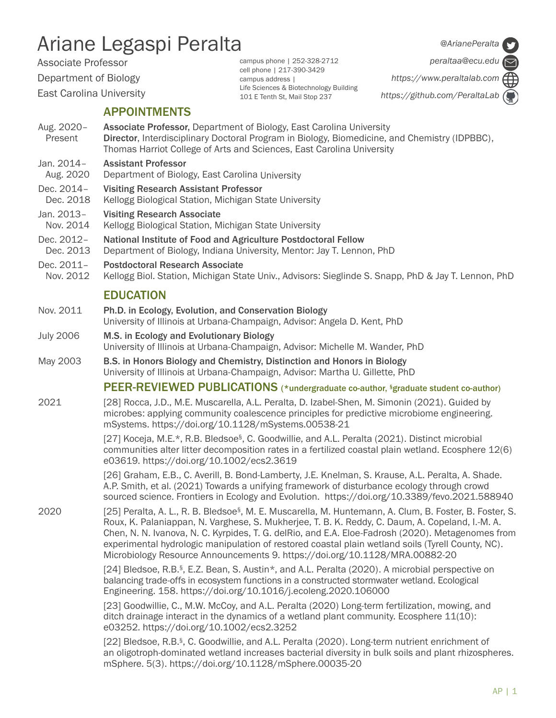# Ariane Legaspi Peralta

Associate Professor

Department of Biology

East Carolina University

APPOINTMENTS

Aug. 2020 – **Associate Professor,** Department of Biology, East Carolina University Present Director, Interdisciplinary Doctoral Program in Biology, Biomedicine, and Chemistry (IDPBBC), Thomas Harriot College of Arts and Sciences, East Carolina University

campus phone | 252-328-2712 cell phone | 217-390-3429 campus address |

Life Sciences & Biotechnology Building 101 E Tenth St, Mail Stop 237

- Jan. 2014– Assistant Professor
- Aug. 2020 Department of Biology, East Carolina University
- Dec. 2014– Visiting Research Assistant Professor
- Dec. 2018 Kellogg Biological Station, Michigan State University
- Jan. 2013– Visiting Research Associate
- Nov. 2014 Kellogg Biological Station, Michigan State University
- Dec. 2012- National Institute of Food and Agriculture Postdoctoral Fellow<br>Dec. 2013 Department of Biology, Indiana University, Mentor: Jay T. Lenno
- Department of Biology, Indiana University, Mentor: Jay T. Lennon, PhD
- Dec. 2011- Postdoctoral Research Associate
- Nov. 2012 Kellogg Biol. Station, Michigan State Univ., Advisors: Sieglinde S. Snapp, PhD & Jay T. Lennon, PhD

# EDUCATION

- Nov. 2011 Ph.D. in Ecology, Evolution, and Conservation Biology University of Illinois at Urbana-Champaign, Advisor: Angela D. Kent, PhD
- July 2006 M.S. in Ecology and Evolutionary Biology University of Illinois at Urbana-Champaign, Advisor: Michelle M. Wander, PhD
- May 2003 B.S. in Honors Biology and Chemistry, Distinction and Honors in Biology University of Illinois at Urbana-Champaign, Advisor: Martha U. Gillette, PhD

## PEER-REVIEWED PUBLICATIONS (\*undergraduate co-author, §graduate student co-author)

2021 [28] Rocca, J.D., M.E. Muscarella, A.L. Peralta, D. Izabel-Shen, M. Simonin (2021). Guided by microbes: applying community coalescence principles for predictive microbiome engineering. mSystems. https://doi.org/10.1128/mSystems.00538-21

> [27] Koceja, M.E.\*, R.B. Bledsoe§, C. Goodwillie, and A.L. Peralta (2021). Distinct microbial communities alter litter decomposition rates in a fertilized coastal plain wetland. Ecosphere 12(6) e03619. https://doi.org/10.1002/ecs2.3619

> [26] Graham, E.B., C. Averill, B. Bond-Lamberty, J.E. Knelman, S. Krause, A.L. Peralta, A. Shade. A.P. Smith, et al. (2021) Towards a unifying framework of disturbance ecology through crowd sourced science. Frontiers in Ecology and Evolution. https://doi.org/10.3389/fevo.2021.588940

2020 [25] Peralta, A. L., R. B. Bledsoe<sup>§</sup>, M. E. Muscarella, M. Huntemann, A. Clum, B. Foster, B. Foster, S. Roux, K. Palaniappan, N. Varghese, S. Mukherjee, T. B. K. Reddy, C. Daum, A. Copeland, I.-M. A. Chen, N. N. Ivanova, N. C. Kyrpides, T. G. delRio, and E.A. Eloe-Fadrosh (2020). Metagenomes from experimental hydrologic manipulation of restored coastal plain wetland soils (Tyrell County, NC). Microbiology Resource Announcements 9. https://doi.org/10.1128/MRA.00882-20

> [24] Bledsoe, R.B.<sup>§</sup>, E.Z. Bean, S. Austin\*, and A.L. Peralta (2020). A microbial perspective on balancing trade-offs in ecosystem functions in a constructed stormwater wetland. Ecological Engineering. 158. https://doi.org/10.1016/j.ecoleng.2020.106000

> [23] Goodwillie, C., M.W. McCoy, and A.L. Peralta (2020) Long-term fertilization, mowing, and ditch drainage interact in the dynamics of a wetland plant community. Ecosphere 11(10): e03252. https://doi.org/10.1002/ecs2.3252

[22] Bledsoe, R.B.<sup>§</sup>, C. Goodwillie, and A.L. Peralta (2020). Long-term nutrient enrichment of an oligotroph-dominated wetland increases bacterial diversity in bulk soils and plant rhizospheres. mSphere. 5(3). https://doi.org/10.1128/mSphere.00035-20

*@ArianePeralta*

*peraltaa@ecu.edu* 

*https://www.peraltalab.com https://github.com/PeraltaLab*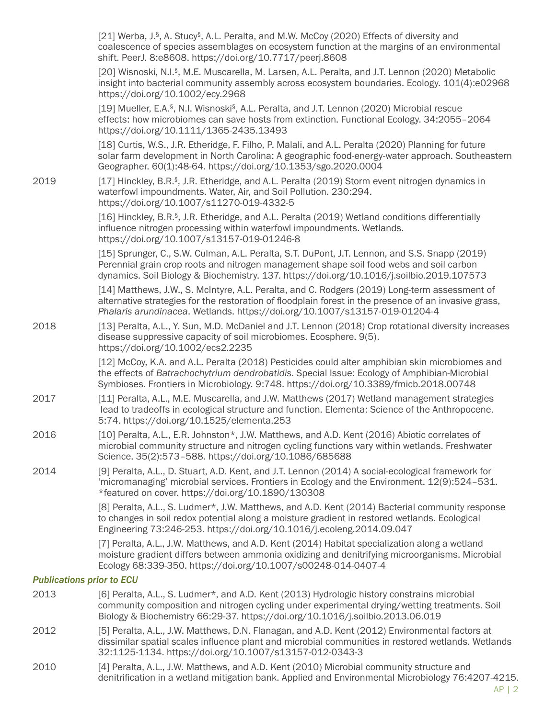|                                  | [21] Werba, J. <sup>§</sup> , A. Stucy <sup>§</sup> , A.L. Peralta, and M.W. McCoy (2020) Effects of diversity and<br>coalescence of species assemblages on ecosystem function at the margins of an environmental<br>shift. PeerJ. 8:e8608. https://doi.org/10.7717/peerj.8608          |
|----------------------------------|-----------------------------------------------------------------------------------------------------------------------------------------------------------------------------------------------------------------------------------------------------------------------------------------|
|                                  | [20] Wisnoski, N.I. <sup>§</sup> , M.E. Muscarella, M. Larsen, A.L. Peralta, and J.T. Lennon (2020) Metabolic<br>insight into bacterial community assembly across ecosystem boundaries. Ecology. 101(4):e02968<br>https://doi.org/10.1002/ecy.2968                                      |
|                                  | [19] Mueller, E.A. <sup>§</sup> , N.I. Wisnoski <sup>§</sup> , A.L. Peralta, and J.T. Lennon (2020) Microbial rescue<br>effects: how microbiomes can save hosts from extinction. Functional Ecology. 34:2055-2064<br>https://doi.org/10.1111/1365-2435.13493                            |
|                                  | [18] Curtis, W.S., J.R. Etheridge, F. Filho, P. Malali, and A.L. Peralta (2020) Planning for future<br>solar farm development in North Carolina: A geographic food-energy-water approach. Southeastern<br>Geographer. 60(1):48-64. https://doi.org/10.1353/sgo.2020.0004                |
| 2019                             | [17] Hinckley, B.R. <sup>§</sup> , J.R. Etheridge, and A.L. Peralta (2019) Storm event nitrogen dynamics in<br>waterfowl impoundments. Water, Air, and Soil Pollution. 230:294.<br>https://doi.org/10.1007/s11270-019-4332-5                                                            |
|                                  | [16] Hinckley, B.R. <sup>§</sup> , J.R. Etheridge, and A.L. Peralta (2019) Wetland conditions differentially<br>influence nitrogen processing within waterfowl impoundments. Wetlands.<br>https://doi.org/10.1007/s13157-019-01246-8                                                    |
|                                  | [15] Sprunger, C., S.W. Culman, A.L. Peralta, S.T. DuPont, J.T. Lennon, and S.S. Snapp (2019)<br>Perennial grain crop roots and nitrogen management shape soil food webs and soil carbon<br>dynamics. Soil Biology & Biochemistry. 137. https://doi.org/10.1016/j.soilbio.2019.107573   |
|                                  | [14] Matthews, J.W., S. McIntyre, A.L. Peralta, and C. Rodgers (2019) Long-term assessment of<br>alternative strategies for the restoration of floodplain forest in the presence of an invasive grass,<br>Phalaris arundinacea. Wetlands. https://doi.org/10.1007/s13157-019-01204-4    |
| 2018                             | [13] Peralta, A.L., Y. Sun, M.D. McDaniel and J.T. Lennon (2018) Crop rotational diversity increases<br>disease suppressive capacity of soil microbiomes. Ecosphere. 9(5).<br>https://doi.org/10.1002/ecs2.2235                                                                         |
|                                  | [12] McCoy, K.A. and A.L. Peralta (2018) Pesticides could alter amphibian skin microbiomes and<br>the effects of Batrachochytrium dendrobatidis. Special Issue: Ecology of Amphibian-Microbial<br>Symbioses. Frontiers in Microbiology. 9:748. https://doi.org/10.3389/fmicb.2018.00748 |
| 2017                             | [11] Peralta, A.L., M.E. Muscarella, and J.W. Matthews (2017) Wetland management strategies<br>lead to tradeoffs in ecological structure and function. Elementa: Science of the Anthropocene.<br>5:74. https://doi.org/10.1525/elementa.253                                             |
| 2016                             | [10] Peralta, A.L., E.R. Johnston*, J.W. Matthews, and A.D. Kent (2016) Abiotic correlates of<br>microbial community structure and nitrogen cycling functions vary within wetlands. Freshwater<br>Science. 35(2):573-588. https://doi.org/10.1086/685688                                |
| 2014                             | [9] Peralta, A.L., D. Stuart, A.D. Kent, and J.T. Lennon (2014) A social-ecological framework for<br>'micromanaging' microbial services. Frontiers in Ecology and the Environment. 12(9):524-531.<br>*featured on cover. https://doi.org/10.1890/130308                                 |
|                                  | [8] Peralta, A.L., S. Ludmer*, J.W. Matthews, and A.D. Kent (2014) Bacterial community response<br>to changes in soil redox potential along a moisture gradient in restored wetlands. Ecological<br>Engineering 73:246-253. https://doi.org/10.1016/j.ecoleng.2014.09.047               |
|                                  | [7] Peralta, A.L., J.W. Matthews, and A.D. Kent (2014) Habitat specialization along a wetland<br>moisture gradient differs between ammonia oxidizing and denitrifying microorganisms. Microbial<br>Ecology 68:339-350. https://doi.org/10.1007/s00248-014-0407-4                        |
| <b>Publications prior to ECU</b> |                                                                                                                                                                                                                                                                                         |
| 2013                             | [6] Peralta, A.L., S. Ludmer*, and A.D. Kent (2013) Hydrologic history constrains microbial<br>community composition and nitrogen cycling under experimental drying/wetting treatments. Soil<br>Biology & Biochemistry 66:29-37. https://doi.org/10.1016/j.soilbio.2013.06.019          |
| 2012                             | [5] Peralta, A.L., J.W. Matthews, D.N. Flanagan, and A.D. Kent (2012) Environmental factors at<br>dissimilar spatial scales influence plant and microbial communities in restored wetlands. Wetlands<br>32:1125-1134. https://doi.org/10.1007/s13157-012-0343-3                         |
|                                  |                                                                                                                                                                                                                                                                                         |

2010 [4] Peralta, A.L., J.W. Matthews, and A.D. Kent (2010) Microbial community structure and denitrification in a wetland mitigation bank. Applied and Environmental Microbiology 76:4207-4215.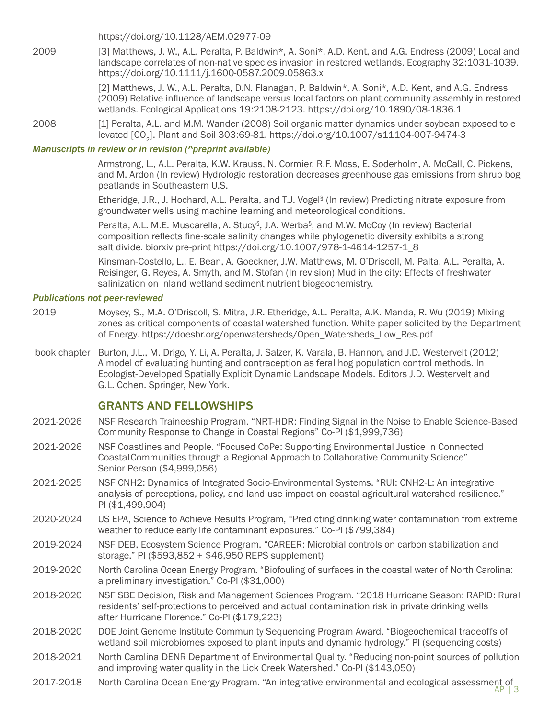https://doi.org/10.1128/AEM.02977-09

2009 [3] Matthews, J. W., A.L. Peralta, P. Baldwin\*, A. Soni\*, A.D. Kent, and A.G. Endress (2009) Local and landscape correlates of non-native species invasion in restored wetlands. Ecography 32:1031-1039. https://doi.org/10.1111/j.1600-0587.2009.05863.x

> [2] Matthews, J. W., A.L. Peralta, D.N. Flanagan, P. Baldwin\*, A. Soni\*, A.D. Kent, and A.G. Endress (2009) Relative influence of landscape versus local factors on plant community assembly in restored wetlands. Ecological Applications 19:2108-2123. https://doi.org/10.1890/08-1836.1

2008 [1] Peralta, A.L. and M.M. Wander (2008) Soil organic matter dynamics under soybean exposed to e levated [CO<sub>2</sub>]. Plant and Soil 303:69-81. https://doi.org/10.1007/s11104-007-9474-3

#### *Manuscripts in review or in revision (^preprint available)*

 Armstrong, L., A.L. Peralta, K.W. Krauss, N. Cormier, R.F. Moss, E. Soderholm, A. McCall, C. Pickens, and M. Ardon (In review) Hydrologic restoration decreases greenhouse gas emissions from shrub bog peatlands in Southeastern U.S.

 Etheridge, J.R., J. Hochard, A.L. Peralta, and T.J. Vogel§ (In review) Predicting nitrate exposure from groundwater wells using machine learning and meteorological conditions.

 Peralta, A.L. M.E. Muscarella, A. Stucy§, J.A. Werba§, and M.W. McCoy (In review) Bacterial composition reflects fine-scale salinity changes while phylogenetic diversity exhibits a strong salt divide. biorxiv pre-print https://doi.org/10.1007/978-1-4614-1257-1\_8

 Kinsman-Costello, L., E. Bean, A. Goeckner, J.W. Matthews, M. O'Driscoll, M. Palta, A.L. Peralta, A. Reisinger, G. Reyes, A. Smyth, and M. Stofan (In revision) Mud in the city: Effects of freshwater salinization on inland wetland sediment nutrient biogeochemistry.

#### *Publications not peer-reviewed*

- 2019 Moysey, S., M.A. O'Driscoll, S. Mitra, J.R. Etheridge, A.L. Peralta, A.K. Manda, R. Wu (2019) Mixing zones as critical components of coastal watershed function. White paper solicited by the Department of Energy. https://doesbr.org/openwatersheds/Open\_Watersheds\_Low\_Res.pdf
- book chapter Burton, J.L., M. Drigo, Y. Li, A. Peralta, J. Salzer, K. Varala, B. Hannon, and J.D. Westervelt (2012) A model of evaluating hunting and contraception as feral hog population control methods. In Ecologist-Developed Spatially Explicit Dynamic Landscape Models. Editors J.D. Westervelt and G.L. Cohen. Springer, New York.

### GRANTS AND FELLOWSHIPS

- 2021-2026 NSF Research Traineeship Program. "NRT-HDR: Finding Signal in the Noise to Enable Science-Based Community Response to Change in Coastal Regions" Co-PI (\$1,999,736)
- 2021-2026 NSF Coastlines and People. "Focused CoPe: Supporting Environmental Justice in Connected CoastalCommunities through a Regional Approach to Collaborative Community Science" Senior Person (\$4,999,056)
- 2021-2025 NSF CNH2: Dynamics of Integrated Socio-Environmental Systems. "RUI: CNH2-L: An integrative analysis of perceptions, policy, and land use impact on coastal agricultural watershed resilience." PI (\$1,499,904)
- 2020-2024 US EPA, Science to Achieve Results Program, "Predicting drinking water contamination from extreme weather to reduce early life contaminant exposures." Co-PI (\$799,384)
- 2019-2024 NSF DEB, Ecosystem Science Program. "CAREER: Microbial controls on carbon stabilization and storage." PI (\$593,852 + \$46,950 REPS supplement)
- 2019-2020 North Carolina Ocean Energy Program. "Biofouling of surfaces in the coastal water of North Carolina: a preliminary investigation." Co-PI (\$31,000)
- 2018-2020 NSF SBE Decision, Risk and Management Sciences Program. "2018 Hurricane Season: RAPID: Rural residents' self-protections to perceived and actual contamination risk in private drinking wells after Hurricane Florence." Co-PI (\$179,223)
- 2018-2020 DOE Joint Genome Institute Community Sequencing Program Award. "Biogeochemical tradeoffs of wetland soil microbiomes exposed to plant inputs and dynamic hydrology." PI (sequencing costs)
- 2018-2021 North Carolina DENR Department of Environmental Quality. "Reducing non-point sources of pollution and improving water quality in the Lick Creek Watershed." Co-PI (\$143,050)
- 2017-2018 North Carolina Ocean Energy Program. "An integrative environmental and ecological assessment of appl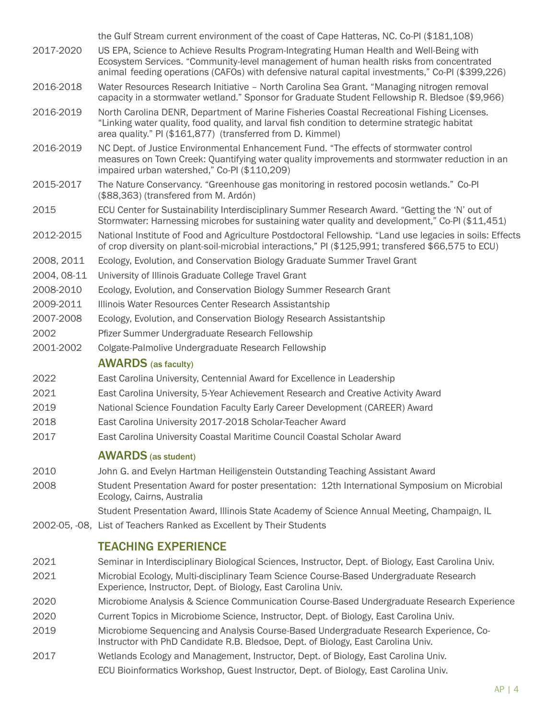|             | the Gulf Stream current environment of the coast of Cape Hatteras, NC. Co-PI (\$181,108)                                                                                                                                                                                               |
|-------------|----------------------------------------------------------------------------------------------------------------------------------------------------------------------------------------------------------------------------------------------------------------------------------------|
| 2017-2020   | US EPA, Science to Achieve Results Program-Integrating Human Health and Well-Being with<br>Ecosystem Services. "Community-level management of human health risks from concentrated<br>animal feeding operations (CAFOs) with defensive natural capital investments," Co-PI (\$399,226) |
| 2016-2018   | Water Resources Research Initiative - North Carolina Sea Grant. "Managing nitrogen removal<br>capacity in a stormwater wetland." Sponsor for Graduate Student Fellowship R. Bledsoe (\$9,966)                                                                                          |
| 2016-2019   | North Carolina DENR, Department of Marine Fisheries Coastal Recreational Fishing Licenses.<br>"Linking water quality, food quality, and larval fish condition to determine strategic habitat<br>area quality." PI (\$161,877) (transferred from D. Kimmel)                             |
| 2016-2019   | NC Dept. of Justice Environmental Enhancement Fund. "The effects of stormwater control<br>measures on Town Creek: Quantifying water quality improvements and stormwater reduction in an<br>impaired urban watershed," Co-PI (\$110,209)                                                |
| 2015-2017   | The Nature Conservancy. "Greenhouse gas monitoring in restored pocosin wetlands." Co-PI<br>(\$88,363) (transfered from M. Ardón)                                                                                                                                                       |
| 2015        | ECU Center for Sustainability Interdisciplinary Summer Research Award. "Getting the 'N' out of<br>Stormwater: Harnessing microbes for sustaining water quality and development," Co-PI (\$11,451)                                                                                      |
| 2012-2015   | National Institute of Food and Agriculture Postdoctoral Fellowship. "Land use legacies in soils: Effects<br>of crop diversity on plant-soil-microbial interactions," PI (\$125,991; transfered \$66,575 to ECU)                                                                        |
| 2008, 2011  | Ecology, Evolution, and Conservation Biology Graduate Summer Travel Grant                                                                                                                                                                                                              |
| 2004, 08-11 | University of Illinois Graduate College Travel Grant                                                                                                                                                                                                                                   |
| 2008-2010   | Ecology, Evolution, and Conservation Biology Summer Research Grant                                                                                                                                                                                                                     |
| 2009-2011   | Illinois Water Resources Center Research Assistantship                                                                                                                                                                                                                                 |
| 2007-2008   | Ecology, Evolution, and Conservation Biology Research Assistantship                                                                                                                                                                                                                    |
| 2002        | Pfizer Summer Undergraduate Research Fellowship                                                                                                                                                                                                                                        |
| 2001-2002   | Colgate-Palmolive Undergraduate Research Fellowship                                                                                                                                                                                                                                    |
|             | <b>AWARDS</b> (as faculty)                                                                                                                                                                                                                                                             |
| 2022        | East Carolina University, Centennial Award for Excellence in Leadership                                                                                                                                                                                                                |
| 2021        | East Carolina University, 5-Year Achievement Research and Creative Activity Award                                                                                                                                                                                                      |
| 2019        | National Science Foundation Faculty Early Career Development (CAREER) Award                                                                                                                                                                                                            |
| 2018        | East Carolina University 2017-2018 Scholar-Teacher Award                                                                                                                                                                                                                               |
| 2017        | East Carolina University Coastal Maritime Council Coastal Scholar Award                                                                                                                                                                                                                |
|             |                                                                                                                                                                                                                                                                                        |
|             | <b>AWARDS</b> (as student)                                                                                                                                                                                                                                                             |
| 2010        | John G. and Evelyn Hartman Heiligenstein Outstanding Teaching Assistant Award                                                                                                                                                                                                          |
| 2008        | Student Presentation Award for poster presentation: 12th International Symposium on Microbial<br>Ecology, Cairns, Australia                                                                                                                                                            |
|             | Student Presentation Award, Illinois State Academy of Science Annual Meeting, Champaign, IL                                                                                                                                                                                            |
|             | 2002-05, -08, List of Teachers Ranked as Excellent by Their Students                                                                                                                                                                                                                   |
|             | <b>TEACHING EXPERIENCE</b>                                                                                                                                                                                                                                                             |
| 2021        | Seminar in Interdisciplinary Biological Sciences, Instructor, Dept. of Biology, East Carolina Univ.                                                                                                                                                                                    |
| 2021        | Microbial Ecology, Multi-disciplinary Team Science Course-Based Undergraduate Research<br>Experience, Instructor, Dept. of Biology, East Carolina Univ.                                                                                                                                |
| 2020        | Microbiome Analysis & Science Communication Course-Based Undergraduate Research Experience                                                                                                                                                                                             |
| 2020        | Current Topics in Microbiome Science, Instructor, Dept. of Biology, East Carolina Univ.                                                                                                                                                                                                |
| 2019        | Microbiome Sequencing and Analysis Course-Based Undergraduate Research Experience, Co-<br>Instructor with PhD Candidate R.B. Bledsoe, Dept. of Biology, East Carolina Univ.                                                                                                            |
| 2017        | Wetlands Ecology and Management, Instructor, Dept. of Biology, East Carolina Univ.<br>ECU Bioinformatics Workshop, Guest Instructor, Dept. of Biology, East Carolina Univ.                                                                                                             |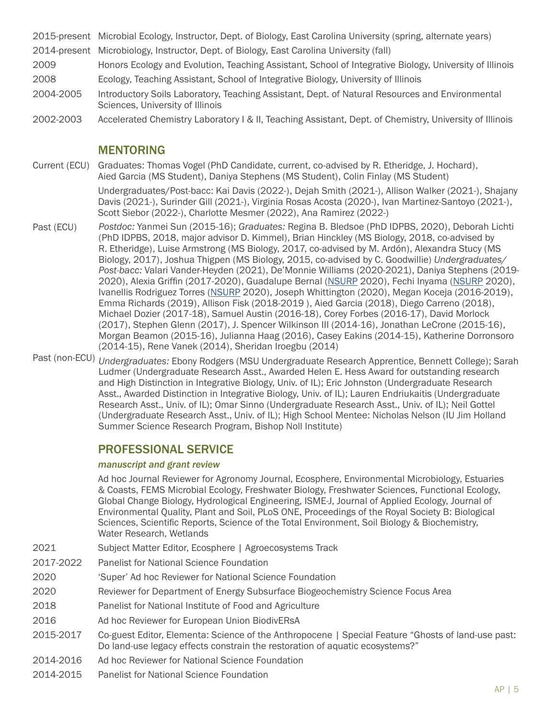2015-present Microbial Ecology, Instructor, Dept. of Biology, East Carolina University (spring, alternate years)

- 2014-present Microbiology, Instructor, Dept. of Biology, East Carolina University (fall)
- 2009 Honors Ecology and Evolution, Teaching Assistant, School of Integrative Biology, University of Illinois
- 2008 Ecology, Teaching Assistant, School of Integrative Biology, University of Illinois
- 2004-2005 Introductory Soils Laboratory, Teaching Assistant, Dept. of Natural Resources and Environmental Sciences, University of Illinois
- 2002-2003 Accelerated Chemistry Laboratory I & II, Teaching Assistant, Dept. of Chemistry, University of Illinois

## MENTORING

Current (ECU) Graduates: Thomas Vogel (PhD Candidate, current, co-advised by R. Etheridge, J. Hochard), Aied Garcia (MS Student), Daniya Stephens (MS Student), Colin Finlay (MS Student)

> Undergraduates/Post-bacc: Kai Davis (2022-), Dejah Smith (2021-), Allison Walker (2021-), Shajany Davis (2021-), Surinder Gill (2021-), Virginia Rosas Acosta (2020-), Ivan Martinez-Santoyo (2021-), Scott Siebor (2022-), Charlotte Mesmer (2022), Ana Ramirez (2022-)

- Past (ECU) *Postdoc:* Yanmei Sun (2015-16); *Graduates:* Regina B. Bledsoe (PhD IDPBS, 2020), Deborah Lichti (PhD IDPBS, 2018, major advisor D. Kimmel), Brian Hinckley (MS Biology, 2018, co-advised by R. Etheridge), Luise Armstrong (MS Biology, 2017, co-advised by M. Ardón), Alexandra Stucy (MS Biology, 2017), Joshua Thigpen (MS Biology, 2015, co-advised by C. Goodwillie) *Undergraduates/ Post-bacc:* Valari Vander-Heyden (2021), De'Monnie Williams (2020-2021), Daniya Stephens (2019- 2020), Alexia Griffin (2017-2020), Guadalupe Bernal (NSURP 2020), Fechi Inyama (NSURP 2020), Ivanellis Rodriguez Torres (NSURP 2020), Joseph Whittington (2020), Megan Koceja (2016-2019), Emma Richards (2019), Allison Fisk (2018-2019 ), Aied Garcia (2018), Diego Carreno (2018), Michael Dozier (2017-18), Samuel Austin (2016-18), Corey Forbes (2016-17), David Morlock (2017), Stephen Glenn (2017), J. Spencer Wilkinson III (2014-16), Jonathan LeCrone (2015-16), Morgan Beamon (2015-16), Julianna Haag (2016), Casey Eakins (2014-15), Katherine Dorronsoro (2014-15), Rene Vanek (2014), Sheridan Iroegbu (2014)
- Past (non-ECU) *Undergraduates:* Ebony Rodgers (MSU Undergraduate Research Apprentice, Bennett College); Sarah Ludmer (Undergraduate Research Asst., Awarded Helen E. Hess Award for outstanding research and High Distinction in Integrative Biology, Univ. of IL); Eric Johnston (Undergraduate Research Asst., Awarded Distinction in Integrative Biology, Univ. of IL); Lauren Endriukaitis (Undergraduate Research Asst., Univ. of IL); Omar Sinno (Undergraduate Research Asst., Univ. of IL); Neil Gottel (Undergraduate Research Asst., Univ. of IL); High School Mentee: Nicholas Nelson (IU Jim Holland Summer Science Research Program, Bishop Noll Institute)

# PROFESSIONAL SERVICE

#### *manuscript and grant review*

Ad hoc Journal Reviewer for Agronomy Journal, Ecosphere, Environmental Microbiology, Estuaries & Coasts, FEMS Microbial Ecology, Freshwater Biology, Freshwater Sciences, Functional Ecology, Global Change Biology, Hydrological Engineering, ISME-J, Journal of Applied Ecology, Journal of Environmental Quality, Plant and Soil, PLoS ONE, Proceedings of the Royal Society B: Biological Sciences, Scientific Reports, Science of the Total Environment, Soil Biology & Biochemistry, Water Research, Wetlands

- 2021 Subject Matter Editor, Ecosphere | Agroecosystems Track
- 2017-2022 Panelist for National Science Foundation
- 2020 'Super' Ad hoc Reviewer for National Science Foundation
- 2020 Reviewer for Department of Energy Subsurface Biogeochemistry Science Focus Area
- 2018 Panelist for National Institute of Food and Agriculture
- 2016 Ad hoc Reviewer for European Union BiodivERsA
- 2015-2017 Co-guest Editor, Elementa: Science of the Anthropocene | Special Feature "Ghosts of land-use past: Do land-use legacy effects constrain the restoration of aquatic ecosystems?"
- 2014-2016 Ad hoc Reviewer for National Science Foundation
- 2014-2015 Panelist for National Science Foundation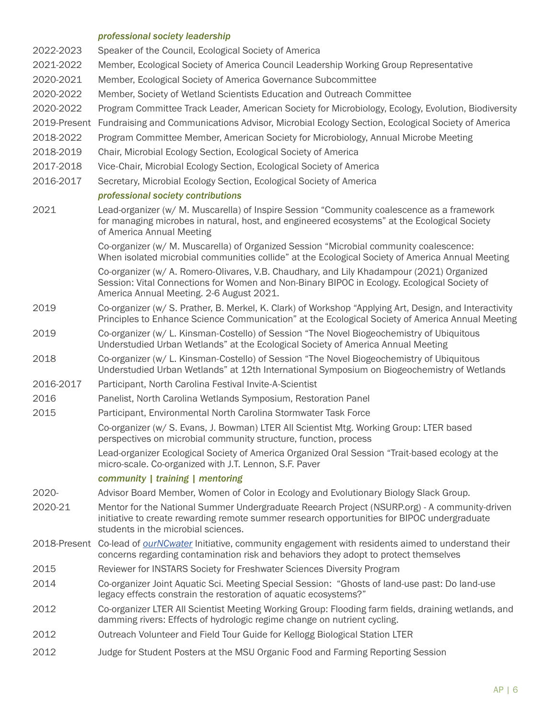#### *professional society leadership*

| 2022-2023    | Speaker of the Council, Ecological Society of America                                                                                                                                                                                |
|--------------|--------------------------------------------------------------------------------------------------------------------------------------------------------------------------------------------------------------------------------------|
| 2021-2022    | Member, Ecological Society of America Council Leadership Working Group Representative                                                                                                                                                |
| 2020-2021    | Member, Ecological Society of America Governance Subcommittee                                                                                                                                                                        |
| 2020-2022    | Member, Society of Wetland Scientists Education and Outreach Committee                                                                                                                                                               |
| 2020-2022    | Program Committee Track Leader, American Society for Microbiology, Ecology, Evolution, Biodiversity                                                                                                                                  |
| 2019-Present | Fundraising and Communications Advisor, Microbial Ecology Section, Ecological Society of America                                                                                                                                     |
| 2018-2022    | Program Committee Member, American Society for Microbiology, Annual Microbe Meeting                                                                                                                                                  |
| 2018-2019    | Chair, Microbial Ecology Section, Ecological Society of America                                                                                                                                                                      |
| 2017-2018    | Vice-Chair, Microbial Ecology Section, Ecological Society of America                                                                                                                                                                 |
| 2016-2017    | Secretary, Microbial Ecology Section, Ecological Society of America                                                                                                                                                                  |
|              | professional society contributions                                                                                                                                                                                                   |
| 2021         | Lead-organizer (w/ M. Muscarella) of Inspire Session "Community coalescence as a framework<br>for managing microbes in natural, host, and engineered ecosystems" at the Ecological Society<br>of America Annual Meeting              |
|              | Co-organizer (w/ M. Muscarella) of Organized Session "Microbial community coalescence:<br>When isolated microbial communities collide" at the Ecological Society of America Annual Meeting                                           |
|              | Co-organizer (w/ A. Romero-Olivares, V.B. Chaudhary, and Lily Khadampour (2021) Organized<br>Session: Vital Connections for Women and Non-Binary BIPOC in Ecology. Ecological Society of<br>America Annual Meeting. 2-6 August 2021. |
| 2019         | Co-organizer (w/ S. Prather, B. Merkel, K. Clark) of Workshop "Applying Art, Design, and Interactivity<br>Principles to Enhance Science Communication" at the Ecological Society of America Annual Meeting                           |
| 2019         | Co-organizer (w/ L. Kinsman-Costello) of Session "The Novel Biogeochemistry of Ubiquitous<br>Understudied Urban Wetlands" at the Ecological Society of America Annual Meeting                                                        |
| 2018         | Co-organizer (w/ L. Kinsman-Costello) of Session "The Novel Biogeochemistry of Ubiquitous<br>Understudied Urban Wetlands" at 12th International Symposium on Biogeochemistry of Wetlands                                             |
| 2016-2017    | Participant, North Carolina Festival Invite-A-Scientist                                                                                                                                                                              |
| 2016         | Panelist, North Carolina Wetlands Symposium, Restoration Panel                                                                                                                                                                       |
| 2015         | Participant, Environmental North Carolina Stormwater Task Force                                                                                                                                                                      |
|              | Co-organizer (w/ S. Evans, J. Bowman) LTER All Scientist Mtg. Working Group: LTER based<br>perspectives on microbial community structure, function, process                                                                          |
|              | Lead-organizer Ecological Society of America Organized Oral Session "Trait-based ecology at the<br>micro-scale. Co-organized with J.T. Lennon, S.F. Paver                                                                            |
|              | community   training   mentoring                                                                                                                                                                                                     |
| 2020-        | Advisor Board Member, Women of Color in Ecology and Evolutionary Biology Slack Group.                                                                                                                                                |
| 2020-21      | Mentor for the National Summer Undergraduate Reearch Project (NSURP.org) - A community-driven<br>initiative to create rewarding remote summer research opportunities for BIPOC undergraduate<br>students in the microbial sciences.  |
|              | 2018-Present Co-lead of <i>ourNCwater</i> Initiative, community engagement with residents aimed to understand their<br>concerns regarding contamination risk and behaviors they adopt to protect themselves                          |
| 2015         | Reviewer for INSTARS Society for Freshwater Sciences Diversity Program                                                                                                                                                               |
| 2014         | Co-organizer Joint Aquatic Sci. Meeting Special Session: "Ghosts of land-use past: Do land-use<br>legacy effects constrain the restoration of aquatic ecosystems?"                                                                   |
| 2012         | Co-organizer LTER All Scientist Meeting Working Group: Flooding farm fields, draining wetlands, and<br>damming rivers: Effects of hydrologic regime change on nutrient cycling.                                                      |
| 2012         | Outreach Volunteer and Field Tour Guide for Kellogg Biological Station LTER                                                                                                                                                          |
| 2012         | Judge for Student Posters at the MSU Organic Food and Farming Reporting Session                                                                                                                                                      |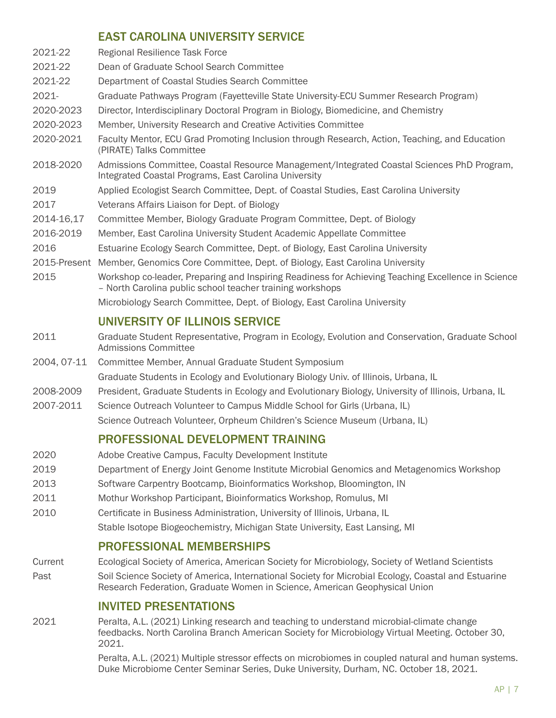# EAST CAROLINA UNIVERSITY SERVICE

|             | EAST CAROLINA UNIVERSITT SERVICE                                                                                                                                |
|-------------|-----------------------------------------------------------------------------------------------------------------------------------------------------------------|
| 2021-22     | Regional Resilience Task Force                                                                                                                                  |
| 2021-22     | Dean of Graduate School Search Committee                                                                                                                        |
| 2021-22     | Department of Coastal Studies Search Committee                                                                                                                  |
| 2021-       | Graduate Pathways Program (Fayetteville State University-ECU Summer Research Program)                                                                           |
| 2020-2023   | Director, Interdisciplinary Doctoral Program in Biology, Biomedicine, and Chemistry                                                                             |
| 2020-2023   | Member, University Research and Creative Activities Committee                                                                                                   |
| 2020-2021   | Faculty Mentor, ECU Grad Promoting Inclusion through Research, Action, Teaching, and Education<br>(PIRATE) Talks Committee                                      |
| 2018-2020   | Admissions Committee, Coastal Resource Management/Integrated Coastal Sciences PhD Program,<br>Integrated Coastal Programs, East Carolina University             |
| 2019        | Applied Ecologist Search Committee, Dept. of Coastal Studies, East Carolina University                                                                          |
| 2017        | Veterans Affairs Liaison for Dept. of Biology                                                                                                                   |
| 2014-16,17  | Committee Member, Biology Graduate Program Committee, Dept. of Biology                                                                                          |
| 2016-2019   | Member, East Carolina University Student Academic Appellate Committee                                                                                           |
| 2016        | Estuarine Ecology Search Committee, Dept. of Biology, East Carolina University                                                                                  |
|             | 2015-Present Member, Genomics Core Committee, Dept. of Biology, East Carolina University                                                                        |
| 2015        | Workshop co-leader, Preparing and Inspiring Readiness for Achieving Teaching Excellence in Science<br>- North Carolina public school teacher training workshops |
|             | Microbiology Search Committee, Dept. of Biology, East Carolina University                                                                                       |
|             | UNIVERSITY OF ILLINOIS SERVICE                                                                                                                                  |
| 2011        | Graduate Student Representative, Program in Ecology, Evolution and Conservation, Graduate School<br><b>Admissions Committee</b>                                 |
| 2004, 07-11 | Committee Member, Annual Graduate Student Symposium                                                                                                             |
|             | Graduate Students in Ecology and Evolutionary Biology Univ. of Illinois, Urbana, IL                                                                             |
| 2008-2009   | President, Graduate Students in Ecology and Evolutionary Biology, University of Illinois, Urbana, IL                                                            |
| 2007-2011   | Science Outreach Volunteer to Campus Middle School for Girls (Urbana, IL)                                                                                       |
|             | Science Outreach Volunteer, Orpheum Children's Science Museum (Urbana, IL)                                                                                      |
|             | PROFESSIONAL DEVELOPMENT TRAINING                                                                                                                               |
| 2020        | Adobe Creative Campus, Faculty Development Institute                                                                                                            |
| 2019        | Department of Energy Joint Genome Institute Microbial Genomics and Metagenomics Workshop                                                                        |
| 2013        | Software Carpentry Bootcamp, Bioinformatics Workshop, Bloomington, IN                                                                                           |
| 2011        | Mothur Workshop Participant, Bioinformatics Workshop, Romulus, MI                                                                                               |
| 2010        | Certificate in Business Administration, University of Illinois, Urbana, IL                                                                                      |
|             | Stable Isotope Biogeochemistry, Michigan State University, East Lansing, MI                                                                                     |

# PROFESSIONAL MEMBERSHIPS

Current Ecological Society of America, American Society for Microbiology, Society of Wetland Scientists Past Soil Science Society of America, International Society for Microbial Ecology, Coastal and Estuarine Research Federation, Graduate Women in Science, American Geophysical Union

## INVITED PRESENTATIONS

2021 Peralta, A.L. (2021) Linking research and teaching to understand microbial-climate change feedbacks. North Carolina Branch American Society for Microbiology Virtual Meeting. October 30, 2021.

> Peralta, A.L. (2021) Multiple stressor effects on microbiomes in coupled natural and human systems. Duke Microbiome Center Seminar Series, Duke University, Durham, NC. October 18, 2021.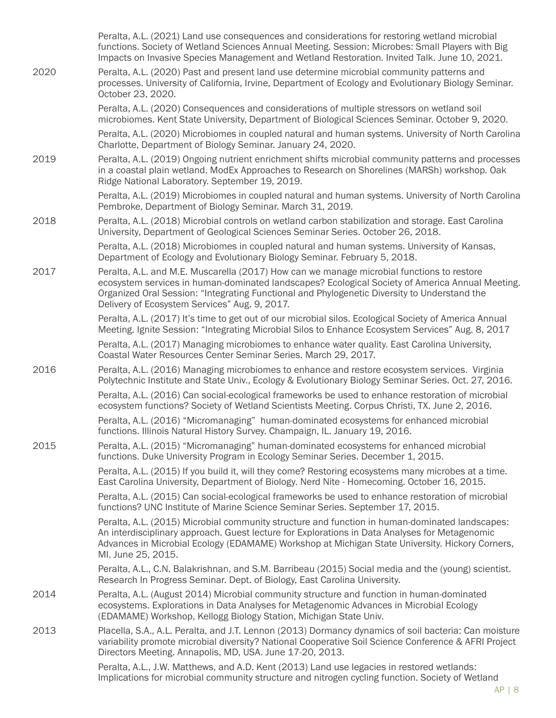|      | Peralta, A.L. (2021) Land use consequences and considerations for restoring wetland microbial<br>functions. Society of Wetland Sciences Annual Meeting. Session: Microbes: Small Players with Big<br>Impacts on Invasive Species Management and Wetland Restoration. Invited Talk. June 10, 2021.                                             |
|------|-----------------------------------------------------------------------------------------------------------------------------------------------------------------------------------------------------------------------------------------------------------------------------------------------------------------------------------------------|
| 2020 | Peralta, A.L. (2020) Past and present land use determine microbial community patterns and<br>processes. University of California, Irvine, Department of Ecology and Evolutionary Biology Seminar.<br>October 23, 2020.                                                                                                                        |
|      | Peralta, A.L. (2020) Consequences and considerations of multiple stressors on wetland soil<br>microbiomes. Kent State University, Department of Biological Sciences Seminar. October 9, 2020.                                                                                                                                                 |
|      | Peralta, A.L. (2020) Microbiomes in coupled natural and human systems. University of North Carolina<br>Charlotte, Department of Biology Seminar. January 24, 2020.                                                                                                                                                                            |
| 2019 | Peralta, A.L. (2019) Ongoing nutrient enrichment shifts microbial community patterns and processes<br>in a coastal plain wetland. ModEx Approaches to Research on Shorelines (MARSh) workshop. Oak<br>Ridge National Laboratory. September 19, 2019.                                                                                          |
|      | Peralta, A.L. (2019) Microbiomes in coupled natural and human systems. University of North Carolina<br>Pembroke, Department of Biology Seminar. March 31, 2019.                                                                                                                                                                               |
| 2018 | Peralta, A.L. (2018) Microbial controls on wetland carbon stabilization and storage. East Carolina<br>University, Department of Geological Sciences Seminar Series. October 26, 2018.                                                                                                                                                         |
|      | Peralta, A.L. (2018) Microbiomes in coupled natural and human systems. University of Kansas,<br>Department of Ecology and Evolutionary Biology Seminar. February 5, 2018.                                                                                                                                                                     |
| 2017 | Peralta, A.L. and M.E. Muscarella (2017) How can we manage microbial functions to restore<br>ecosystem services in human-dominated landscapes? Ecological Society of America Annual Meeting.<br>Organized Oral Session: "Integrating Functional and Phylogenetic Diversity to Understand the<br>Delivery of Ecosystem Services" Aug. 9, 2017. |
|      | Peralta, A.L. (2017) It's time to get out of our microbial silos. Ecological Society of America Annual<br>Meeting. Ignite Session: "Integrating Microbial Silos to Enhance Ecosystem Services" Aug. 8, 2017                                                                                                                                   |
|      | Peralta, A.L. (2017) Managing microbiomes to enhance water quality. East Carolina University,<br>Coastal Water Resources Center Seminar Series. March 29, 2017.                                                                                                                                                                               |
| 2016 | Peralta, A.L. (2016) Managing microbiomes to enhance and restore ecosystem services. Virginia<br>Polytechnic Institute and State Univ., Ecology & Evolutionary Biology Seminar Series. Oct. 27, 2016.                                                                                                                                         |
|      | Peralta, A.L. (2016) Can social-ecological frameworks be used to enhance restoration of microbial<br>ecosystem functions? Society of Wetland Scientists Meeting. Corpus Christi, TX. June 2, 2016.                                                                                                                                            |
|      | Peralta, A.L. (2016) "Micromanaging" human-dominated ecosystems for enhanced microbial<br>functions. Illinois Natural History Survey. Champaign, IL. January 19, 2016.                                                                                                                                                                        |
| 2015 | Peralta, A.L. (2015) "Micromanaging" human-dominated ecosystems for enhanced microbial<br>functions. Duke University Program in Ecology Seminar Series. December 1, 2015.                                                                                                                                                                     |
|      | Peralta, A.L. (2015) If you build it, will they come? Restoring ecosystems many microbes at a time.<br>East Carolina University, Department of Biology. Nerd Nite - Homecoming. October 16, 2015.                                                                                                                                             |
|      | Peralta, A.L. (2015) Can social-ecological frameworks be used to enhance restoration of microbial<br>functions? UNC Institute of Marine Science Seminar Series. September 17, 2015.                                                                                                                                                           |
|      | Peralta, A.L. (2015) Microbial community structure and function in human-dominated landscapes:<br>An interdisciplinary approach. Guest lecture for Explorations in Data Analyses for Metagenomic<br>Advances in Microbial Ecology (EDAMAME) Workshop at Michigan State University. Hickory Corners,<br>Ml. June 25, 2015.                     |
|      | Peralta, A.L., C.N. Balakrishnan, and S.M. Barribeau (2015) Social media and the (young) scientist.<br>Research In Progress Seminar. Dept. of Biology, East Carolina University.                                                                                                                                                              |
| 2014 | Peralta, A.L. (August 2014) Microbial community structure and function in human-dominated<br>ecosystems. Explorations in Data Analyses for Metagenomic Advances in Microbial Ecology<br>(EDAMAME) Workshop, Kellogg Biology Station, Michigan State Univ.                                                                                     |
| 2013 | Placella, S.A., A.L. Peralta, and J.T. Lennon (2013) Dormancy dynamics of soil bacteria: Can moisture<br>variability promote microbial diversity? National Cooperative Soil Science Conference & AFRI Project<br>Directors Meeting. Annapolis, MD, USA. June 17-20, 2013.                                                                     |
|      | Peralta, A.L., J.W. Matthews, and A.D. Kent (2013) Land use legacies in restored wetlands:<br>Implications for microbial community structure and nitrogen cycling function. Society of Wetland                                                                                                                                                |